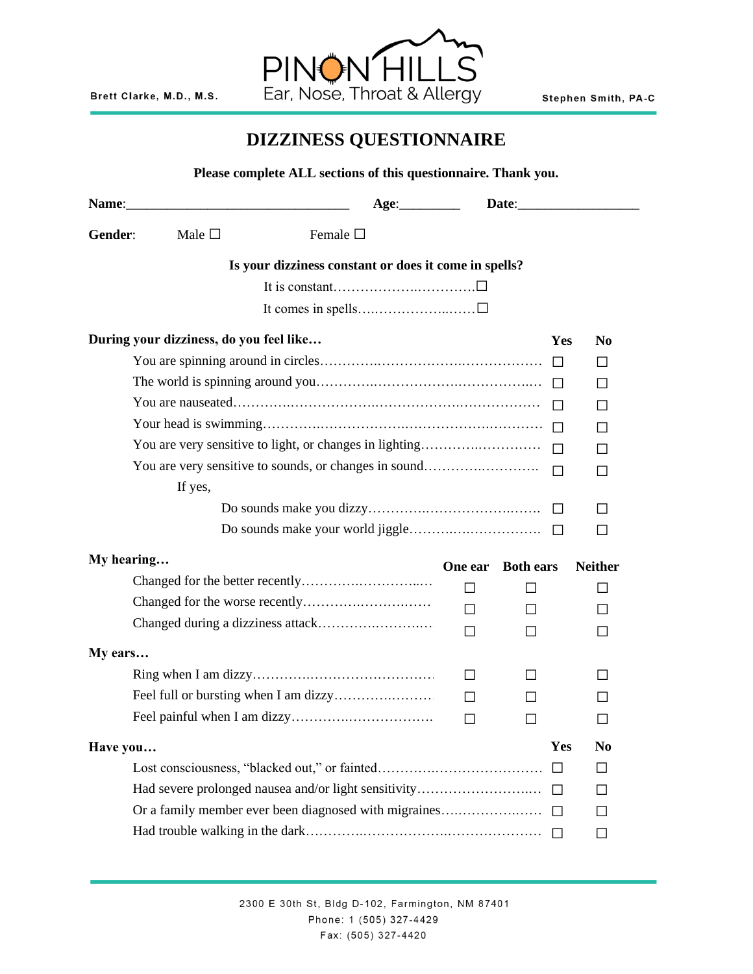

## **DIZZINESS QUESTIONNAIRE**

|            |                                         | Please complete ALL sections of this questionnaire. Thank you. |           |                  |                |
|------------|-----------------------------------------|----------------------------------------------------------------|-----------|------------------|----------------|
|            |                                         |                                                                |           | Date:            |                |
| Gender:    | Male •                                  | Female •                                                       |           |                  |                |
|            |                                         | Is your dizziness constant or does it come in spells?          |           |                  |                |
|            |                                         |                                                                |           |                  |                |
|            |                                         |                                                                |           |                  |                |
|            |                                         |                                                                |           |                  |                |
|            | During your dizziness, do you feel like |                                                                |           | Yes              | N <sub>0</sub> |
|            |                                         |                                                                |           |                  |                |
|            |                                         |                                                                |           |                  | $\bullet$      |
|            |                                         |                                                                |           |                  |                |
|            |                                         |                                                                |           |                  |                |
|            |                                         |                                                                |           |                  |                |
|            | If yes,                                 |                                                                |           |                  |                |
|            |                                         |                                                                |           |                  |                |
|            |                                         |                                                                |           |                  |                |
|            |                                         |                                                                |           |                  |                |
| My hearing |                                         |                                                                | One ear   | <b>Both ears</b> | <b>Neither</b> |
|            |                                         |                                                                | $\bullet$ | $\bullet$        |                |
|            |                                         |                                                                |           |                  |                |
|            |                                         |                                                                |           |                  |                |
| My ears    |                                         |                                                                |           |                  |                |
|            |                                         |                                                                |           |                  |                |
|            |                                         |                                                                |           |                  |                |
|            |                                         |                                                                |           |                  |                |
|            |                                         |                                                                |           |                  |                |
| Have you   |                                         |                                                                |           | Yes              | N <sub>0</sub> |
|            |                                         |                                                                |           |                  |                |
|            |                                         |                                                                |           |                  |                |
|            |                                         |                                                                |           |                  |                |
|            |                                         |                                                                |           |                  |                |